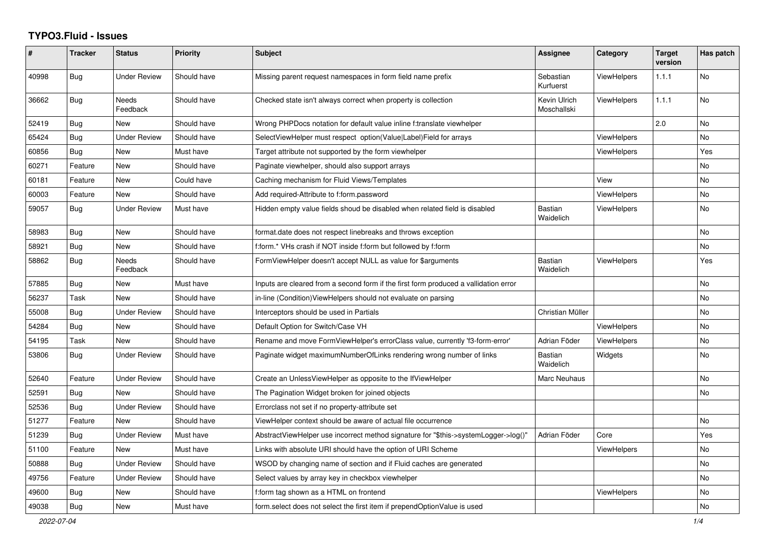## **TYPO3.Fluid - Issues**

| $\pmb{\#}$ | <b>Tracker</b> | <b>Status</b>            | <b>Priority</b> | Subject                                                                              | Assignee                    | Category           | <b>Target</b><br>version | Has patch |
|------------|----------------|--------------------------|-----------------|--------------------------------------------------------------------------------------|-----------------------------|--------------------|--------------------------|-----------|
| 40998      | <b>Bug</b>     | <b>Under Review</b>      | Should have     | Missing parent request namespaces in form field name prefix                          | Sebastian<br>Kurfuerst      | <b>ViewHelpers</b> | 1.1.1                    | <b>No</b> |
| 36662      | Bug            | <b>Needs</b><br>Feedback | Should have     | Checked state isn't always correct when property is collection                       | Kevin Ulrich<br>Moschallski | ViewHelpers        | 1.1.1                    | <b>No</b> |
| 52419      | Bug            | <b>New</b>               | Should have     | Wrong PHPDocs notation for default value inline f:translate viewhelper               |                             |                    | 2.0                      | <b>No</b> |
| 65424      | Bug            | <b>Under Review</b>      | Should have     | SelectViewHelper must respect option(Value Label)Field for arrays                    |                             | ViewHelpers        |                          | No        |
| 60856      | <b>Bug</b>     | New                      | Must have       | Target attribute not supported by the form viewhelper                                |                             | ViewHelpers        |                          | Yes       |
| 60271      | Feature        | New                      | Should have     | Paginate viewhelper, should also support arrays                                      |                             |                    |                          | No        |
| 60181      | Feature        | New                      | Could have      | Caching mechanism for Fluid Views/Templates                                          |                             | View               |                          | No        |
| 60003      | Feature        | <b>New</b>               | Should have     | Add required-Attribute to f:form.password                                            |                             | <b>ViewHelpers</b> |                          | <b>No</b> |
| 59057      | Bug            | <b>Under Review</b>      | Must have       | Hidden empty value fields shoud be disabled when related field is disabled           | <b>Bastian</b><br>Waidelich | <b>ViewHelpers</b> |                          | No        |
| 58983      | Bug            | <b>New</b>               | Should have     | format.date does not respect linebreaks and throws exception                         |                             |                    |                          | <b>No</b> |
| 58921      | Bug            | New                      | Should have     | f:form.* VHs crash if NOT inside f:form but followed by f:form                       |                             |                    |                          | <b>No</b> |
| 58862      | Bug            | <b>Needs</b><br>Feedback | Should have     | FormViewHelper doesn't accept NULL as value for \$arguments                          | Bastian<br>Waidelich        | ViewHelpers        |                          | Yes       |
| 57885      | <b>Bug</b>     | New                      | Must have       | Inputs are cleared from a second form if the first form produced a vallidation error |                             |                    |                          | No        |
| 56237      | Task           | New                      | Should have     | in-line (Condition) View Helpers should not evaluate on parsing                      |                             |                    |                          | No        |
| 55008      | Bug            | <b>Under Review</b>      | Should have     | Interceptors should be used in Partials                                              | Christian Müller            |                    |                          | No        |
| 54284      | Bug            | <b>New</b>               | Should have     | Default Option for Switch/Case VH                                                    |                             | <b>ViewHelpers</b> |                          | <b>No</b> |
| 54195      | Task           | <b>New</b>               | Should have     | Rename and move FormViewHelper's errorClass value, currently 'f3-form-error'         | Adrian Föder                | ViewHelpers        |                          | No        |
| 53806      | Bug            | <b>Under Review</b>      | Should have     | Paginate widget maximumNumberOfLinks rendering wrong number of links                 | Bastian<br>Waidelich        | Widgets            |                          | No        |
| 52640      | Feature        | <b>Under Review</b>      | Should have     | Create an UnlessViewHelper as opposite to the IfViewHelper                           | Marc Neuhaus                |                    |                          | <b>No</b> |
| 52591      | <b>Bug</b>     | <b>New</b>               | Should have     | The Pagination Widget broken for joined objects                                      |                             |                    |                          | <b>No</b> |
| 52536      | Bug            | <b>Under Review</b>      | Should have     | Errorclass not set if no property-attribute set                                      |                             |                    |                          |           |
| 51277      | Feature        | New                      | Should have     | ViewHelper context should be aware of actual file occurrence                         |                             |                    |                          | No        |
| 51239      | Bug            | <b>Under Review</b>      | Must have       | AbstractViewHelper use incorrect method signature for "\$this->systemLogger->log()"  | Adrian Föder                | Core               |                          | Yes       |
| 51100      | Feature        | <b>New</b>               | Must have       | Links with absolute URI should have the option of URI Scheme                         |                             | <b>ViewHelpers</b> |                          | <b>No</b> |
| 50888      | Bug            | <b>Under Review</b>      | Should have     | WSOD by changing name of section and if Fluid caches are generated                   |                             |                    |                          | <b>No</b> |
| 49756      | Feature        | <b>Under Review</b>      | Should have     | Select values by array key in checkbox viewhelper                                    |                             |                    |                          | <b>No</b> |
| 49600      | <b>Bug</b>     | New                      | Should have     | f:form tag shown as a HTML on frontend                                               |                             | ViewHelpers        |                          | No        |
| 49038      | Bug            | New                      | Must have       | form select does not select the first item if prependOptionValue is used             |                             |                    |                          | No        |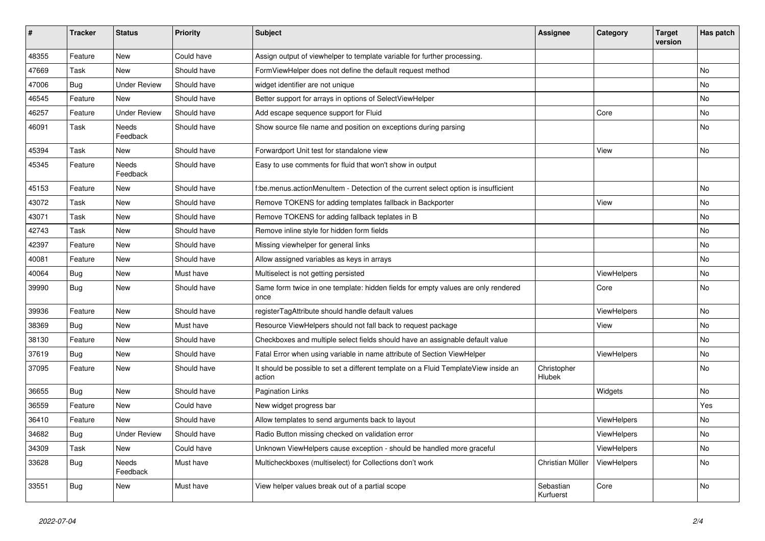| #     | <b>Tracker</b> | <b>Status</b>       | <b>Priority</b> | <b>Subject</b>                                                                                | Assignee               | Category           | <b>Target</b><br>version | Has patch |
|-------|----------------|---------------------|-----------------|-----------------------------------------------------------------------------------------------|------------------------|--------------------|--------------------------|-----------|
| 48355 | Feature        | <b>New</b>          | Could have      | Assign output of viewhelper to template variable for further processing.                      |                        |                    |                          |           |
| 47669 | Task           | New                 | Should have     | FormViewHelper does not define the default request method                                     |                        |                    |                          | <b>No</b> |
| 47006 | Bug            | <b>Under Review</b> | Should have     | widget identifier are not unique                                                              |                        |                    |                          | No        |
| 46545 | Feature        | <b>New</b>          | Should have     | Better support for arrays in options of SelectViewHelper                                      |                        |                    |                          | No        |
| 46257 | Feature        | <b>Under Review</b> | Should have     | Add escape sequence support for Fluid                                                         |                        | Core               |                          | <b>No</b> |
| 46091 | Task           | Needs<br>Feedback   | Should have     | Show source file name and position on exceptions during parsing                               |                        |                    |                          | <b>No</b> |
| 45394 | Task           | New                 | Should have     | Forwardport Unit test for standalone view                                                     |                        | View               |                          | No        |
| 45345 | Feature        | Needs<br>Feedback   | Should have     | Easy to use comments for fluid that won't show in output                                      |                        |                    |                          |           |
| 45153 | Feature        | New                 | Should have     | f:be.menus.actionMenuItem - Detection of the current select option is insufficient            |                        |                    |                          | <b>No</b> |
| 43072 | Task           | <b>New</b>          | Should have     | Remove TOKENS for adding templates fallback in Backporter                                     |                        | View               |                          | <b>No</b> |
| 43071 | Task           | New                 | Should have     | Remove TOKENS for adding fallback teplates in B                                               |                        |                    |                          | <b>No</b> |
| 42743 | Task           | <b>New</b>          | Should have     | Remove inline style for hidden form fields                                                    |                        |                    |                          | <b>No</b> |
| 42397 | Feature        | New                 | Should have     | Missing viewhelper for general links                                                          |                        |                    |                          | <b>No</b> |
| 40081 | Feature        | New                 | Should have     | Allow assigned variables as keys in arrays                                                    |                        |                    |                          | <b>No</b> |
| 40064 | <b>Bug</b>     | New                 | Must have       | Multiselect is not getting persisted                                                          |                        | ViewHelpers        |                          | <b>No</b> |
| 39990 | Bug            | New                 | Should have     | Same form twice in one template: hidden fields for empty values are only rendered<br>once     |                        | Core               |                          | <b>No</b> |
| 39936 | Feature        | <b>New</b>          | Should have     | registerTagAttribute should handle default values                                             |                        | ViewHelpers        |                          | <b>No</b> |
| 38369 | Bug            | <b>New</b>          | Must have       | Resource ViewHelpers should not fall back to request package                                  |                        | View               |                          | No        |
| 38130 | Feature        | <b>New</b>          | Should have     | Checkboxes and multiple select fields should have an assignable default value                 |                        |                    |                          | <b>No</b> |
| 37619 | <b>Bug</b>     | <b>New</b>          | Should have     | Fatal Error when using variable in name attribute of Section ViewHelper                       |                        | <b>ViewHelpers</b> |                          | <b>No</b> |
| 37095 | Feature        | <b>New</b>          | Should have     | It should be possible to set a different template on a Fluid TemplateView inside an<br>action | Christopher<br>Hlubek  |                    |                          | <b>No</b> |
| 36655 | <b>Bug</b>     | New                 | Should have     | <b>Pagination Links</b>                                                                       |                        | Widgets            |                          | No        |
| 36559 | Feature        | New                 | Could have      | New widget progress bar                                                                       |                        |                    |                          | Yes       |
| 36410 | Feature        | <b>New</b>          | Should have     | Allow templates to send arguments back to layout                                              |                        | ViewHelpers        |                          | No        |
| 34682 | Bug            | <b>Under Review</b> | Should have     | Radio Button missing checked on validation error                                              |                        | ViewHelpers        |                          | No        |
| 34309 | Task           | New                 | Could have      | Unknown ViewHelpers cause exception - should be handled more graceful                         |                        | <b>ViewHelpers</b> |                          | <b>No</b> |
| 33628 | Bug            | Needs<br>Feedback   | Must have       | Multicheckboxes (multiselect) for Collections don't work                                      | Christian Müller       | <b>ViewHelpers</b> |                          | <b>No</b> |
| 33551 | Bug            | New                 | Must have       | View helper values break out of a partial scope                                               | Sebastian<br>Kurfuerst | Core               |                          | <b>No</b> |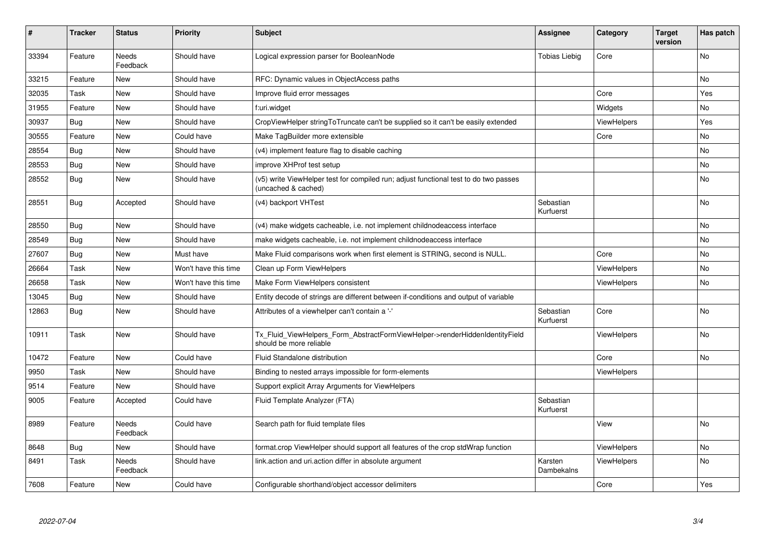| #     | <b>Tracker</b> | <b>Status</b>     | <b>Priority</b>      | <b>Subject</b>                                                                                              | Assignee               | Category           | <b>Target</b><br>version | Has patch |
|-------|----------------|-------------------|----------------------|-------------------------------------------------------------------------------------------------------------|------------------------|--------------------|--------------------------|-----------|
| 33394 | Feature        | Needs<br>Feedback | Should have          | Logical expression parser for BooleanNode                                                                   | <b>Tobias Liebig</b>   | Core               |                          | <b>No</b> |
| 33215 | Feature        | New               | Should have          | RFC: Dynamic values in ObjectAccess paths                                                                   |                        |                    |                          | <b>No</b> |
| 32035 | Task           | New               | Should have          | Improve fluid error messages                                                                                |                        | Core               |                          | Yes       |
| 31955 | Feature        | New               | Should have          | f:uri.widget                                                                                                |                        | Widgets            |                          | No        |
| 30937 | Bug            | New               | Should have          | CropViewHelper stringToTruncate can't be supplied so it can't be easily extended                            |                        | ViewHelpers        |                          | Yes       |
| 30555 | Feature        | New               | Could have           | Make TagBuilder more extensible                                                                             |                        | Core               |                          | No        |
| 28554 | <b>Bug</b>     | New               | Should have          | (v4) implement feature flag to disable caching                                                              |                        |                    |                          | <b>No</b> |
| 28553 | <b>Bug</b>     | New               | Should have          | improve XHProf test setup                                                                                   |                        |                    |                          | <b>No</b> |
| 28552 | <b>Bug</b>     | New               | Should have          | (v5) write ViewHelper test for compiled run; adjust functional test to do two passes<br>(uncached & cached) |                        |                    |                          | No        |
| 28551 | <b>Bug</b>     | Accepted          | Should have          | (v4) backport VHTest                                                                                        | Sebastian<br>Kurfuerst |                    |                          | <b>No</b> |
| 28550 | <b>Bug</b>     | New               | Should have          | (v4) make widgets cacheable, i.e. not implement childnodeaccess interface                                   |                        |                    |                          | <b>No</b> |
| 28549 | Bug            | New               | Should have          | make widgets cacheable, i.e. not implement childnodeaccess interface                                        |                        |                    |                          | <b>No</b> |
| 27607 | <b>Bug</b>     | New               | Must have            | Make Fluid comparisons work when first element is STRING, second is NULL.                                   |                        | Core               |                          | <b>No</b> |
| 26664 | Task           | New               | Won't have this time | Clean up Form ViewHelpers                                                                                   |                        | <b>ViewHelpers</b> |                          | No        |
| 26658 | Task           | New               | Won't have this time | Make Form ViewHelpers consistent                                                                            |                        | <b>ViewHelpers</b> |                          | No        |
| 13045 | <b>Bug</b>     | New               | Should have          | Entity decode of strings are different between if-conditions and output of variable                         |                        |                    |                          |           |
| 12863 | <b>Bug</b>     | <b>New</b>        | Should have          | Attributes of a viewhelper can't contain a '-'                                                              | Sebastian<br>Kurfuerst | Core               |                          | <b>No</b> |
| 10911 | Task           | New               | Should have          | Tx Fluid ViewHelpers Form AbstractFormViewHelper->renderHiddenIdentityField<br>should be more reliable      |                        | <b>ViewHelpers</b> |                          | <b>No</b> |
| 10472 | Feature        | New               | Could have           | Fluid Standalone distribution                                                                               |                        | Core               |                          | No        |
| 9950  | Task           | <b>New</b>        | Should have          | Binding to nested arrays impossible for form-elements                                                       |                        | <b>ViewHelpers</b> |                          |           |
| 9514  | Feature        | <b>New</b>        | Should have          | Support explicit Array Arguments for ViewHelpers                                                            |                        |                    |                          |           |
| 9005  | Feature        | Accepted          | Could have           | Fluid Template Analyzer (FTA)                                                                               | Sebastian<br>Kurfuerst |                    |                          |           |
| 8989  | Feature        | Needs<br>Feedback | Could have           | Search path for fluid template files                                                                        |                        | View               |                          | <b>No</b> |
| 8648  | <b>Bug</b>     | New               | Should have          | format.crop ViewHelper should support all features of the crop stdWrap function                             |                        | ViewHelpers        |                          | <b>No</b> |
| 8491  | Task           | Needs<br>Feedback | Should have          | link.action and uri.action differ in absolute argument                                                      | Karsten<br>Dambekalns  | <b>ViewHelpers</b> |                          | No        |
| 7608  | Feature        | New               | Could have           | Configurable shorthand/object accessor delimiters                                                           |                        | Core               |                          | Yes       |